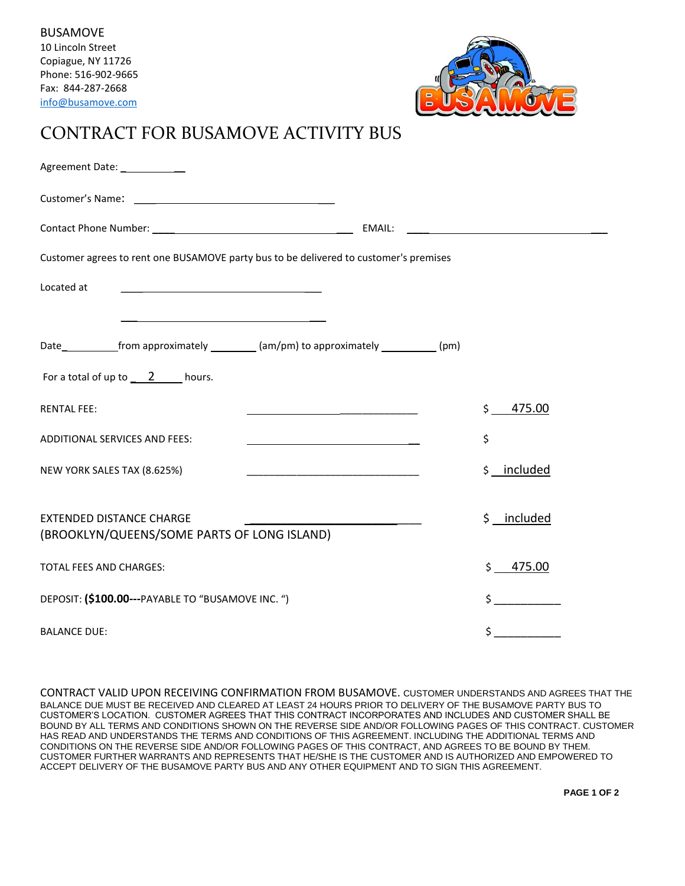

## CONTRACT FOR BUSAMOVE ACTIVITY BUS

| Agreement Date: _____________                                                                                                                          |               |
|--------------------------------------------------------------------------------------------------------------------------------------------------------|---------------|
|                                                                                                                                                        |               |
|                                                                                                                                                        |               |
| Customer agrees to rent one BUSAMOVE party bus to be delivered to customer's premises                                                                  |               |
| Located at                                                                                                                                             |               |
|                                                                                                                                                        |               |
| Date______________from approximately ___________(am/pm) to approximately ____________(pm)                                                              |               |
| For a total of up to $\qquad 2$ hours.                                                                                                                 |               |
| <b>RENTAL FEE:</b>                                                                                                                                     | \$<br>475.00  |
| ADDITIONAL SERVICES AND FEES:<br><u> 1989 - Johann Barn, mars ann an t-Amhain Aonaichte ann an t-Amhain Aonaichte ann an t-Amhain Aonaichte ann an</u> | \$            |
| NEW YORK SALES TAX (8.625%)<br><u> 1989 - Johann John Stone, mars eta bat eta bat eta bat eta bat eta bat ez erroman erroman ez erroman ez erroman</u> | \$ _ included |
|                                                                                                                                                        |               |
| <b>EXTENDED DISTANCE CHARGE</b><br>(BROOKLYN/QUEENS/SOME PARTS OF LONG ISLAND)                                                                         | \$ included   |
| <b>TOTAL FEES AND CHARGES:</b>                                                                                                                         | \$475.00      |
| DEPOSIT: (\$100.00---PAYABLE TO "BUSAMOVE INC. ")                                                                                                      | $\frac{1}{2}$ |
| <b>BALANCE DUE:</b>                                                                                                                                    | \$            |

CONTRACT VALID UPON RECEIVING CONFIRMATION FROM BUSAMOVE. CUSTOMER UNDERSTANDS AND AGREES THAT THE BALANCE DUE MUST BE RECEIVED AND CLEARED AT LEAST 24 HOURS PRIOR TO DELIVERY OF THE BUSAMOVE PARTY BUS TO CUSTOMER'S LOCATION. CUSTOMER AGREES THAT THIS CONTRACT INCORPORATES AND INCLUDES AND CUSTOMER SHALL BE BOUND BY ALL TERMS AND CONDITIONS SHOWN ON THE REVERSE SIDE AND/OR FOLLOWING PAGES OF THIS CONTRACT. CUSTOMER HAS READ AND UNDERSTANDS THE TERMS AND CONDITIONS OF THIS AGREEMENT. INCLUDING THE ADDITIONAL TERMS AND CONDITIONS ON THE REVERSE SIDE AND/OR FOLLOWING PAGES OF THIS CONTRACT, AND AGREES TO BE BOUND BY THEM. CUSTOMER FURTHER WARRANTS AND REPRESENTS THAT HE/SHE IS THE CUSTOMER AND IS AUTHORIZED AND EMPOWERED TO ACCEPT DELIVERY OF THE BUSAMOVE PARTY BUS AND ANY OTHER EQUIPMENT AND TO SIGN THIS AGREEMENT.